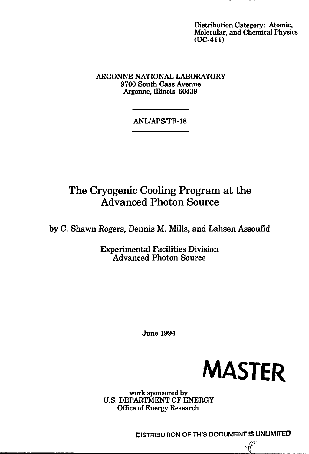Distribution Category: Atomic, Molecular, and Chemical Physics (UC-411)

ARGONNE NATIONAL LABORATORY 9700 South Cass Avenue Argonne, Illinois 60439

# ANL/APS/TB-18

# The Cryogenic Cooling Program at the Advanced Photon Source

by C. Shawn Rogers, Dennis M. Mills, and Lahsen Assoufid

Experimental Facilities Division Advanced Photon Source

June 1994



work sponsored by U.S. DEPARTMENT OF ENERGY Office of Energy Research

DISTRIBUTION OF THIS DOCUMENT IS UNLIMITEO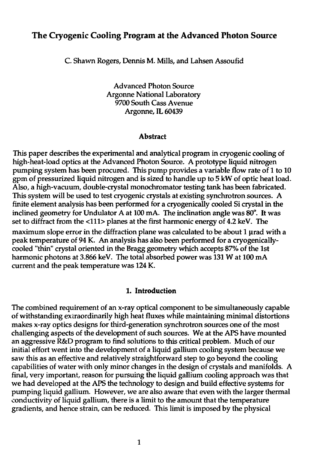## The Cryogenic Cooling Program at the Advanced Photon Source

C. Shawn Rogers, Dennis M. Mills, and Lahsen Assoufid

Advanced Photon Source Argonne National Laboratory 9700 South Cass Avenue Argonne, IL 60439

#### **Abstract**

This paper describes the experimental and analytical program in cryogenic cooling of high-heat-load optics at the Advanced Photon Source. A prototype liquid nitrogen pumping system has been procured. This pump provides a variable flow rate of 1 to 10 gpm of pressurized liquid nitrogen and is sized to handle up to 5 kW of optic heat load. Also, a high-vacuum, double-crystal monochromator testing tank has been fabricated. This system will be used to test cryogenic crystals at existing synchrotron sources. A finite element analysis has been performed for a cryogenically cooled Si crystal in the inclined geometry for Undulator A at 100 mA. The inclination angle was 80°. It was set to diffract from the <111> planes at the first harmonic energy of 4.2 keV. The maximum slope error in the diffraction plane was calculated to be about 1 µrad with a peak temperature of 94 K. An analysis has also been performed for a cryogenicallycooled "thin" crystal oriented in the Bragg geometry which accepts 87% of the 1st harmonic photons at 3.866 keV. The total absorbed power was 131 W at 100 mA current and the peak temperature was 124 K.

#### **1. Introduction**

The combined requirement of an x-ray optical component to be simultaneously capable of withstanding extraordinarily high heat fluxes while maintaining minimal distortions makes x-ray optics designs for third-generation synchrotron sources one of the most challenging aspects of the development of such sources. We at the APS have mounted an aggressive R&D program to find solutions to this critical problem. Much of our initial effort went into the development of a liquid gallium cooling system because we saw this as an effective and relatively straightforward step to go beyond the cooling capabilities of water with only minor changes in the design of crystals and manifolds. A final, very important, reason for pursuing the liquid gallium cooling approach was that we had developed at the APS the technology to design and build effective systems for pumping liquid gallium. However, we are also aware that even with the larger thermal conductivity of liquid gallium, there is a limit to the amount that the temperature gradients, and hence strain, can be reduced. This limit is imposed by the physical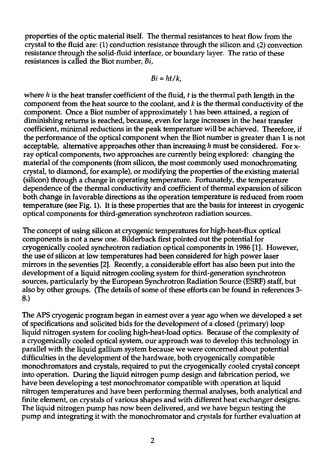properties of the optic material itself. The thermal resistances to heat flow from the crystal to the fluid are: (1) conduction resistance through the silicon and (2) convection resistance through the solid-fluid interface, or boundary layer. The ratio of these resistances is called the Biot number, *Bi,*

$$
Bi=ht/k,
$$

where *h* is the heat transfer coefficient of the fluid, *t* is the thermal path length in the component from the heat source to the coolant, and *k* is the thermal conductivity of the component. Once a Biot number of approximately 1 has been attained, a region of diminishing returns is reached, because, even for large increases in the heat transfer coefficient, minimal reductions in the peak temperature will be achieved. Therefore, if the performance of the optical component when the Biot number is greater than 1 is not acceptable, alternative approaches other than increasing *h* must be considered. For xray optical components, two approaches are currently being explored: changing the material of the components (from silicon, the most commonly used monochromating crystal, to diamond, for example), or modifying the properties of the existing material (silicon) through a change in operating temperature. Fortunately, the temperature dependence of the thermal conductivity and coefficient of thermal expansion of silicon both change in favorable directions as the operation temperature is reduced from room temperature (see Fig. 1). It is these properties that are the basis for interest in cryogenic optical components for third-generation synchrotron radiation sources.

The concept of using silicon at cryogenic temperatures for high-heat-flux optical components is not a new one. Bilderback first pointed out the potential for cryogenically cooled synchrotron radiation optical components in 1986 [1]. However, the use of silicon at low temperatures had been considered for high power laser mirrors in the seventies [2]. Recently, a considerable effort has also been put into the development of a liquid nitrogen cooling system for third-generation synchrotron sources, particularly by the European Synchrotron Radiation Source (ESRF) staff, but also by other groups. (The details of some of these efforts can be found in references 3- 8.)

The APS cryogenic program began in earnest over a year ago when we developed a set of specifications and solicited bids for the development of a closed (primary) loop liquid nitrogen system for cooling high-heat-load optics. Because of the complexity of a cryogenically cooled optical system, our approach was to develop this technology in parallel with the liquid gallium system because we were concerned about potential difficulties in the development of the hardware, both cryogenically compatible monochromators and crystals, required to put the cryogenically cooled crystal concept into operation. During the liquid nitrogen pump design and fabrication period, we have been developing a test monochromator compatible with operation at liquid nitrogen temperatures and have been performing thermal analyses, both analytical and finite element, on crystals of various shapes and with different heat exchanger designs. The liquid nitrogen pump has now been delivered, and we have begun testing the pump and integrating it with the monochromator and crystals for further evaluation at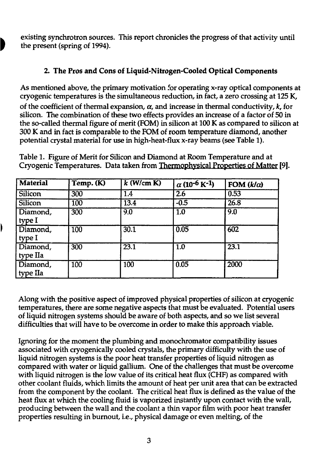existing synchrotron sources. This report chronicles the progress of that activity until the present (spring of 1994).

## **2. The Pros and Cons of Liquid-Nitrogen-Cooled Optical Components**

As mentioned above, the primary motivation for operating x-ray optical components at cryogenic temperatures is the simultaneous reduction, in fact, a zero crossing at 125 K, of the coefficient of thermal expansion,  $\alpha$ , and increase in thermal conductivity,  $k$ , for silicon. The combination of these two effects provides an increase of a factor of 50 in the so-called thermal figure of merit (FOM) in silicon at 100 K as compared to silicon at 300 K and in fact is comparable to the FOM of room temperature diamond, another potential crystal material for use in high-heat-flux x-ray beams (see Table 1).

Table 1. Figure of Merit for Silicon and Diamond at Room Temperature and at Cryogenic Temperatures. Data taken from Thermophysical Properties of Matter [9].

| <b>Material</b>      | Temp. (K)        | $k$ (W/cm K)      | $\alpha$ (10 <sup>-6</sup> K <sup>-1</sup> ) | FOM $(k/\alpha)$ |
|----------------------|------------------|-------------------|----------------------------------------------|------------------|
| <b>Silicon</b>       | $\overline{300}$ | 1.4               | $\overline{2.6}$                             | 0.53             |
| <b>Silicon</b>       | $\overline{100}$ | $\overline{13.4}$ | $-0.5$                                       | 26.8             |
| Diamond,<br>type I   | $\overline{300}$ | 9.0               | $\overline{1.0}$                             | 9.0              |
| Diamond,<br>type I   | $\overline{100}$ | 30.1              | 0.05                                         | 602              |
| Diamond,<br>type IIa | 300              | $\overline{23.1}$ | $\overline{1.0}$                             | 23.1             |
| Diamond,<br>type IIa | $\overline{100}$ | 100               | 0.05                                         | 2000             |

Along with the positive aspect of improved physical properties of silicon at cryogenic temperatures, there are some negative aspects that must be evaluated. Potential users of liquid nitrogen systems should be aware of both aspects, and so we list several difficulties that will have to be overcome in order to make this approach viable.

Ignoring for the moment the plumbing and monochromator compatibility issues associated with cryogenically cooled crystals, the primary difficulty with the use of liquid nitrogen systems is the poor heat transfer properties of liquid nitrogen as compared with water or liquid gallium. One of the challenges that must be overcome with liquid nitrogen is the low value of its critical heat flux (CHF) as compared with other coolant fluids, which limits the amount of heat per unit area that can be extracted from the component by the coolant. The critical heat flux is defined as the value of the heat flux at which the cooling fluid is vaporized instantly upon contact with the wall, producing between the wall and the coolant a thin vapor film with poor heat transfer properties resulting in burnout, i.e., physical damage or even melting, of the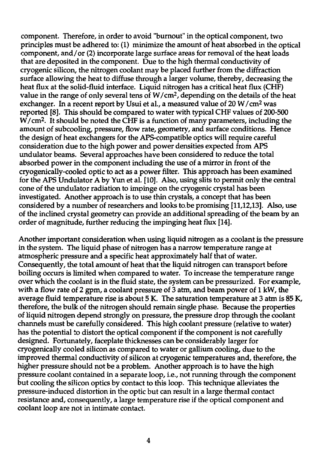component. Therefore, in order to avoid "burnout" in the optical component, two principles must be adhered to: (1) minimize the amount of heat absorbed in the optical component, and/or (2) incorporate large surface areas for removal of the heat loads that are deposited in the component. Due to the high thermal conductivity of cryogenic silicon, the nitrogen coolant may be placed further from the diffraction surface allowing the heat to diffuse through a larger volume, thereby, decreasing the heat flux at the solid-fluid interface. Liquid nitrogen has a critical heat flux (CHF) value in the range of only several tens of W/cm<sup>2</sup> , depending on the details of the heat exchanger. In a recent report by Usui et al., a measured value of 20 W/cm<sup>2</sup> was reported [8]. This should be compared to water with typical CHF values of 200-500 W/cm<sup>2</sup> . It should be noted the CHF is a function of many parameters, including the amount of subcooling, pressure, flow rate, geometry, and surface conditions. Hence the design of heat exchangers for the APS-compatible optics will require careful consideration due to the high power and power densities expected from APS undulator beams. Several approaches have been considered to reduce the total absorbed power in the component including the use of a mirror in front of the cryogenically-cooled optic to act as a power filter. This approach has been examined for the APS Undulator A by Yun et al. [10]. Also, using slits to permit only the central cone of the undulator radiation to impinge on the cryogenic crystal has been investigated. Another approach is to use thin crystals, a concept that has been considered by a number of researchers and looks to.be promising [11,12,13]. Also, use of the inclined crystal geometry can provide an additional spreading of the beam by an order of magnitude, further reducing the impinging heat flux [14].

Another important consideration when using liquid nitrogen as a coolant is the pressure in the system. The liquid phase of nitrogen has a narrow temperature range at atmospheric pressure and a specific heat approximately half that of water. Consequently, the total amount of heat that the liquid nitrogen can transport before boiling occurs is limited when compared to water. To increase the temperature range over which the coolant is in the fluid state, the system can be pressurized. For example, with a flow rate of 2 gpm, a coolant pressure of 3 atm, and beam power of 1 kW, the average fluid temperature rise is about 5 K. The saturation temperature at 3 atm is 85 K, therefore, the bulk of the nitrogen should remain single phase. Because the properties of liquid nitrogen depend strongly on pressure, the pressure drop through the coolant channels must be carefully considered. This high coolant pressure (relative to water) has the potential to distort the optical component if the component is not carefully designed. Fortunately, faceplate thicknesses can be considerably larger for cryogenically cooled silicon as compared to water or gallium cooling, due to the improved thermal conductivity of silicon at cryogenic temperatures and, therefore, the higher pressure should not be a problem. Another approach is to have the high pressure coolant contained in a separate loop, i.e., not running through the component but cooling the silicon optics by contact to this loop. This technique alleviates the pressure-induced distortion in the optic but can result in a large thermal contact resistance and, consequently, a large temperature rise if the optical component and coolant loop are not in intimate contact.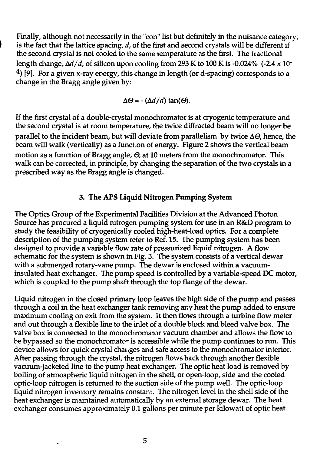Finally, although not necessarily in the "con" list but definitely in the nuisance category, is the fact that the lattice spacing, *d,* of the first and second crystals will be different if the second crystal is not cooled to the same temperature as the first. The fractional length change,  $\Delta d/d$ , of silicon upon cooling from 293 K to 100 K is -0.024% (-2.4 x 10<sup>-</sup>  $4$ ) [9]. For a given x-ray energy, this change in length (or d-spacing) corresponds to a change in the Bragg angle given by:

$$
\Delta\Theta = -(\Delta d/d) \tan(\Theta).
$$

If the first crystal of a double-crystal monochromator is at cryogenic temperature and the second crystal is at room temperature, the twice diffracted beam will no longer be parallel to the incident beam, but will deviate from parallelism by twice  $\Delta\Theta$ , hence, the beam will walk (vertically) as a function of energy. Figure 2 shows the vertical beam motion as a function of Bragg angle, *0,* at 10 meters from the monochromator. This walk can be corrected, in principle, by changing the separation of the two crystals in a prescribed way as the Bragg angle is changed.

### 3. **The APS Liquid Nitrogen Pumping System**

The Optics Group of the Experimental Facilities Division at the Advanced Photon Source has procured a liquid nitrogen pumping system for use in an R&D program to study the feasibility of cryogenically cooled high-heat-load optics. For a complete description of the pumping system refer to Ref. 15. The pumping system has been designed to provide a variable flow rate of pressurized liquid nitrogen. A flow schematic for the system is shown in Fig. 3. The system consists of a vertical dewar with a submerged rotary-vane pump. The dewar is enclosed within a vacuuminsulated heat exchanger. The pump speed is controlled by a variable-speed DC motor, which is coupled to the pump shaft through the top flange of the dewar.

Liquid nitrogen in the closed primary loop leaves the high side of the pump and passes through a coil in the heat exchanger tank removing any heat the pump added to ensure maximum cooling on exit from the system. It then flows through a turbine flow meter and out through a flexible line to the inlet of a double block and bleed valve box. The valve box is connected to the monochromator vacuum chamber and allows the flow to be bypassed so the monochromator is accessible while the pump continues to run. This device allows for quick crystal changes and safe access to the monochromator interior. After passing through the crystal, the nitrogen flows back through another flexible vacuum-jacketed line to the pump heat exchanger. The optic heat load is removed by boiling of atmospheric liquid nitrogen in the shell, or open-loop, side and the cooled optic-loop nitrogen is returned to the suction side of the pump well. The optic-loop liquid nitrogen inventory remains constant. The nitrogen level in the shell side of the heat exchanger is maintained automatically by an external storage dewar. The heat exchanger consumes approximately 0.1 gallons per minute per kilowatt of optic heat

5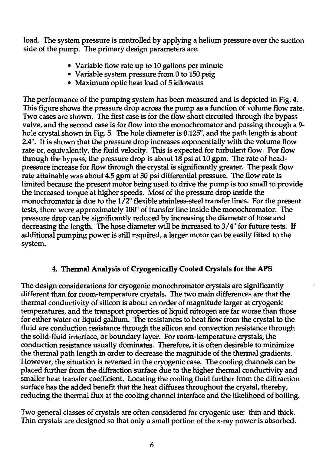load. The system pressure is controlled by applying a helium pressure over the suction side of the pump. The primary design parameters are:

- Variable flow rate up to 10 gallons per minute
- Variable system pressure from 0 to 150 psig
- Maximum optic heat load of 5 kilowatts

The performance of the pumping system has been measured and is depicted in Fig. 4. This figure shows the pressure drop across the pump as a function of volume flow rate. Two cases are shown. The first case is for the flow short circuited through the bypass valve, and the second case is for flow into the monochromator and passing through a 9 hole crystal shown in Fig. 5. The hole diameter is 0.125", and the path length is about 2.4". It is shown that the pressure drop increases exponentially with the volume flow rate or, equivalently, the fluid velocity. This is expected for turbulent flow. For flow through the bypass, the pressure drop is about  $18$  psi at  $10$  gpm. The rate of headpressure increase for flow through the crystal is significantly greater. The peak flow rate attainable was about 4.5 gpm at 30 psi differential pressure. The flow rate is limited because the present motor being used to drive the pump is too small to provide the increased torque at higher speeds. Most of the pressure drop inside the monochromator is due to the 1/2" flexible stainless-steel transfer lines. For the present tests, there were approximately 100" of transfer line inside the monochromator. The pressure drop can be significantly reduced by increasing the diameter of hose and decreasing the length. The hose diameter will be increased to 3/4" for future tests. If additional pumping power is still required, a larger motor can be easily fitted to the system.

# **4. Thermal Analysis of Cryogenically Cooled Crystals for the APS**

The design considerations for cryogenic monochromator crystals are significantly different than for room-temperature crystals. The two main differences are that the thermal conductivity of silicon is about an order of magnitude larger at cryogenic temperatures, and the transport properties of liquid nitrogen are far worse than those for either water or liquid gallium. The resistances to heat flow from the crystal to the fluid are conduction resistance through the silicon and convection resistance through the solid-fluid interface, or boundary layer. For room-temperature crystals, the conduction resistance usually dominates. Therefore, it is often desirable to minimize the thermal path length in order to decrease the magnitude of the thermal gradients. However, the situation is reversed in the cryogenic case. The cooling channels can be placed further from the diffraction surface due to the higher thermal conductivity and smaller heat transfer coefficient. Locating the cooling fluid further from the diffraction surface has the added benefit that the heat diffuses throughout the crystal, thereby, reducing the thermal flux at the cooling channel interface and the likelihood of boiling.

Two general classes of crystals are often considered for cryogenic use: thin and thick. Thin crystals are designed so that only a small portion of the x-ray power is absorbed.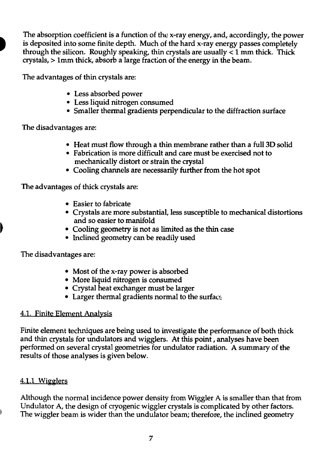The absorption coefficient is a function of the x-ray energy, and, accordingly, the power is deposited into some finite depth. Much of the hard x-ray energy passes completely through the silicon. Roughly speaking, thin crystals are usually  $\lt 1$  mm thick. Thick crystals, > lmm thick, absorb a large fraction of the energy in the beam.

The advantages of thin crystals are:

- Less absorbed power
- Less liquid nitrogen consumed
- Smaller thermal gradients perpendicular to the diffraction surface

The disadvantages are:

- Heat must flow through a thin membrane rather than a full 3D solid
- Fabrication is more difficult and care must be exercised not to mechanically distort or strain the crystal
- Cooling channels are necessarily further from the hot spot

The advantages of thick crystals are:

- Easier to fabricate
- Crystals are more substantial, less susceptible to mechanical distortions and so easier to manifold
- Cooling geometry is not as limited as the thin case
- Inclined geometry can be readily used

The disadvantages are:

- Most of the x-ray power is absorbed
- More liquid nitrogen is consumed
- Crystal heat exchanger must be larger
- Larger thermal gradients normal to the surface

## 4.1. Finite Element Analysis

Finite element techniques are being used to investigate the performance of both thick and thin crystals for undulators and wigglers. At this point, analyses have been performed on several crystal geometries for undulator radiation. A summary of the results of those analyses is given below.

# 4.1.1 Wigglers

Although the normal incidence power density from Wiggler A is smaller than that from Undulator A, the design of cryogenic wiggler crystals is complicated by other factors. The wiggler beam is wider than the undulator beam; therefore, the inclined geometry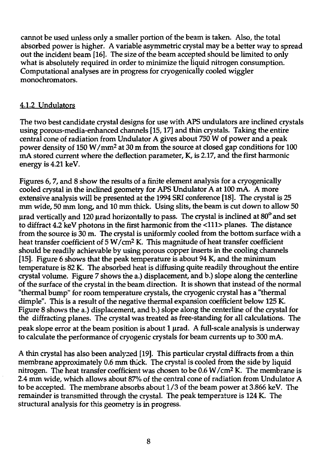cannot be used unless only a smaller portion of the beam is taken. Also, the total absorbed power is higher. A variable asymmetric crystal may be a better way to spread out the incident beam [16]. The size of the beam accepted should be limited to only what is absolutely required in order to minimize the liquid nitrogen consumption. Computational analyses are in progress for cryogenically cooled wiggler monochromators.

## 4.1.2 Undulators

The two best candidate crystal designs for use with APS undulators are inclined crystals using porous-media-enhanced channels [15,17] and thin crystals. Taking the entire central cone of radiation from Undulator A gives about 750 W of power and a peak power density of 150 W/mm<sup>2</sup> at 30 m from the source at closed gap conditions for 100 mA stored current where the deflection parameter, K, is 2.17, and the first harmonic energy is 4.21 keV.

Figures 6, 7, and 8 show the results of a finite element analysis for a cryogenically cooled crystal in the inclined geometry for APS Undulator A at 100 mA. A more extensive analysis will be presented at the 1994 SRI conference [18]. The crystal is 25 mm wide, 50 mm long, and 10 mm thick. Using slits, the beam is cut down to allow 50  $\mu$ rad vertically and 120  $\mu$ rad horizontally to pass. The crystal is inclined at 80 $^{\circ}$  and set to diffract 4.2 keV photons in the first harmonic from the <111> planes. The distance from the source is 30 m. The crystal is uniformly cooled from the bottom surface with a heat transfer coefficient of 5 W/cm<sup>2</sup> K. This magnitude of heat transfer coefficient should be readily achievable by using porous copper inserts in the cooling channels [15]. Figure 6 shows that the peak temperature is about 94 K, and the minimum temperature is 82 K. The absorbed heat is diffusing quite readily throughout the entire crystal volume. Figure 7 shows the a.) displacement, and b.) slope along the centerline of the surface of the crystal in the beam direction. It is shown that instead of the normal "thermal bump" for room temperature crystals, the cryogenic crystal has a "thermal dimple". This is a result of the negative thermal expansion coefficient below 125 K. Figure 8 shows the a.) displacement, and b.) slope along the centerline of the crystal for the diffracting planes. The crystal was treated as free-standing for all calculations. The peak slope error at the beam position is about 1 µrad. A full-scale analysis is underway to calculate the performance of cryogenic crystals for beam currents up to 300 mA.

A thin crystal has also been analyzed [19]. This particular crystal diffracts from a thin membrane approximately 0.6 mm thick. The crystal is cooled from the side by liquid nitrogen. The heat transfer coefficient was chosen to be 0.6 W/cm<sup>2</sup> K. The membrane is 2.4 mm wide, which allows about 87% of the central cone of radiation from Undulator A to be accepted. The membrane absorbs about 1/3 of the beam power at 3.866 keV. The remainder is transmitted through the crystal. The peak temperature is 124 K. The structural analysis for this geometry is in progress.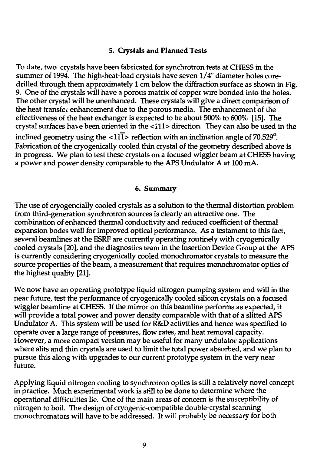#### **5. Crystals and Planned Tests**

To date, two crystals have been fabricated for synchrotron tests at CHESS in the summer of 1994. The high-heat-load crystals have seven 1/4" diameter holes coredrilled through them approximately 1 cm below the diffraction surface as shown in Fig. 9. One of the crystals will have a porous matrix of copper wire bonded into the holes. The other crystal will be unenhanced. These crystals will give a direct comparison of the heat transfer enhancement due to the porous media. The enhancement of the effectiveness of the heat exchanger is expected to be about 500% to 600% [15]. The crystal surfaces have been oriented in the <I11> direction. They can also be used in the inclined geometry using the  $\langle 111 \rangle$  reflection with an inclination angle of 70.529°. Fabrication of the cryogenically cooled thin crystal of the geometry described above is in progress. We plan to test these crystals on a focused wiggler beam at CHESS having a power and power density comparable to the APS Undulator A at 100 mA.

#### **6. Summary**

The use of cryogencially cooled crystals as a solution to the thermal distortion problem from third-generation synchrotron sources is clearly an attractive one. The combination of enhanced thermal conductivity and reduced coefficient of thermal expansion bodes well for improved optical performance. As a testament to this fact, several beamlines at the ESRF are currently operating routinely with cryogenically cooled crystals [20], and the diagnostics team in the Insertion Device Group at the APS is currently considering cryogenically cooled monochromator crystals to measure the source properties of the beam, a measurement that requires monochromator optics of the highest quality [21].

We now have an operating prototype liquid nitrogen pumping system and will in the near future, test the performance of cryogenically cooled silicon crystals on **a** focused wiggler beamline at CHESS. If the mirror on this beamline performs as expected, it will provide a total power and power density comparable with that of a slitted APS Undulator A. This system will be used for R&D activities and hence was specified to operate over a large range of pressures, flow rates, and heat removal capacity. However, a more compact version may be useful for many undulator applications where slits and thin crystals are used to limit the total power absorbed, and we plan to pursue this along with upgrades to our current prototype system in the very near future.

Applying liquid nitrogen cooling to synchrotron optics is still a relatively novel concept in practice. Much experimental work is still to be done to determine where the operational difficulties lie. One of the main areas of concern is the susceptibility of nitrogen to boil. The design of cryogenic-compatible double-crystal scanning monochromators will have to be addressed. It will probably be necessary for both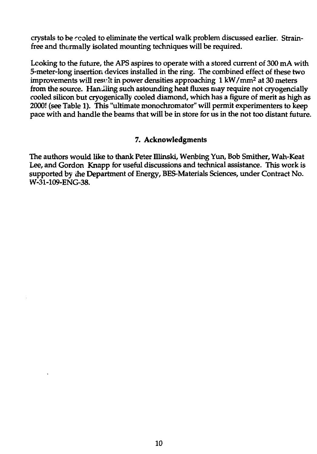crystals to be rcoled to eliminate the vertical walk problem discussed earlier. Strainfree and thermally isolated mounting techniques will be required.

Looking to the future, the APS aspires to operate with a stored current of 300 mA with 5-meter-long insertion devices installed in the ring. The combined effect of these two improvements will resrlt in power densities approaching 1 kW/mm<sup>2</sup> at 30 meters from the source. Handling such astounding heat fluxes may require not cryogencially cooled silicon but cryogenically cooled diamond, which has a figure of merit as high as 2000! (see Table 1). This "ultimate monochromator" will permit experimenters to keep pace with and handle the beams that will be in store for us in the not too distant future.

## 7. Acknowledgments

The authors would like to thank Peter Illinski, Wenbing Yun, Bob Smither, Wah-Keat Lee, and Gordon Knapp for useful discussions and technical assistance. This work is supported by the Department of Energy, BES-Materials Sciences, under Contract No. W-31-109-ENG-38.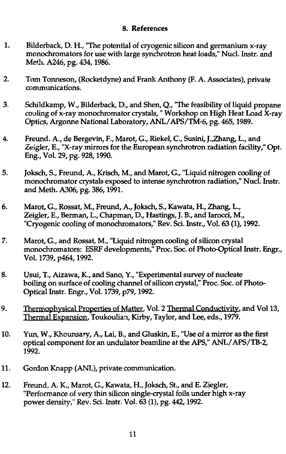#### 8. References

- 1. Bilderback, D. H., "The potential of cryogenic silicon and germanium x-ray mcnochromators for use with large synchrotron heat loads," Nucl. Instr. and Meth. A246, pg. 434,1986.
- 2. Tom Tonneson, (Rocketdyne) and Frank Anthony (F. A. Associates), private communications.
- 3. Schildkamp, W., Bilderback, D., and Shen, Q., "The feasibility of liquid propane cooling of x-ray monochromator crystals, " Workshop on High Heat Load X-ray Optics, Argonne National Laboratory, ANL/APS/TM-6, pg. 465,1989.
- 4. Freund. A., de Bergevin, F., Marot, G., Riekel, C, Susini, J.,Zhang, L., and Zeigler, E., "X-ray mirrors for the European synchrotron radiation facility," Opt. Eng., Vol. 29, pg. 928,1990.
- 5. Joksch, S., Freund, A., Krisch, M., and Marot, G., "Liquid nitrogen cooling of monochromator crystals exposed to intense synchrotron radiation," Nucl. Instr. and Meth. A306, pg. 386,1991.
- 6. Marot, G., Rossat, M., Freund, A., Joksch, S., Kawata, H., Zhang, L., Zeigler, E., Berman, L., Chapman, D., Hastings, J. B., and Iarocci, M., "Cryogenic cooling of monochromators," Rev. Sci. Instr., Vol. 63 (1), 1992.
- 7. Marot, G., and Rossat, M., "Liquid nitrogen cooling of silicon crystal monochromators: ESRF developments," Proc. Soc. of Photo-Optical Instr. Engr., Vol. 1739, p464,1992.
- 8. Usui, T., Aizawa, K., and Sano, Y., "Experimental survey of nucleate boiling on surface of cooling channel of silicon crystal," Proc. Soc. of Photo-Optical Instr. Engr., Vol. 1739, p79,1992.
- 9. Thermophysical Properties of Matter. Vol. 2 Thermal Conductivity. and Vol 13, Thermal Expansion. Toukoulian, Kirby, Taylor, and Lee, eds., 1979.
- 10. Yun, W., Khounsary, A., Lai, B., and Gluskin, E., "Use of a mirror as the first optical component for an undulator beamline at the APS," ANL/APS/TB-2, 1992.
- 11. Gordon Knapp (ANL), private communication.
- 12. Freund, A. K., Marot, G., Kawata, H., Joksch, St., and E. Ziegler, "Performance of very thin silicon single-crystal foils under high x-ray power density," Rev. Sci. Instr. Vol. 63 (1), pg. 442,1992.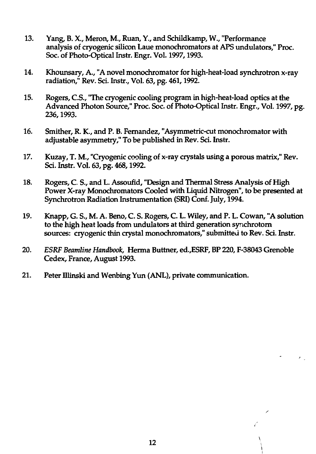- 13. Yang, B. X., Meron, M., Ruan, Y., and Schildkamp, W., "Performance analysis of cryogenic silicon Laue monochromators at APS undulators," Proc. Soc. of Photo-Optical Instr. Engr. Vol. 1997, 1993.
- 14. Khounsary, A., "A novel monochromator for high-heat-load synchrotron x-ray radiation," Rev. Sci. Instr., Vol. 63, pg. 461,1992.
- 15. Rogers, C.S., "The cryogenic cooling program in high-heat-load optics at the Advanced Photon Source," Proc. Soc. of Photo-Optical Instr. Engr., Vol. 1997, pg. 236,1993.
- 16. Smither, R. K., and P. B. Fernandez, "Asymmetric-cut monochromator with adjustable asymmetry," To be published in Rev. Sci. Instr.
- 17. Kuzay, T. M., "Cryogenic cooling of x-ray crystals using a porous matrix," Rev. Sci. Instr. Vol. 63, pg. 468,1992.
- 18. Rogers, C. S., and L. Assoufid, "Design and Thermal Stress Analysis of High Power X-ray Monochromators Cooled with Liquid Nitrogen", to be presented at Synchrotron Radiation Instrumentation (SRI) Conf. July, 1994.
- 19. Knapp, G. S., M. A. Beno, C. S. Rogers, C. L. Wiley, and P. L. Cowan, "A solution to the high heat loads from undulators at third generation synchrotorn sources: cryogenic thin crystal monochromators," submitted to Rev. Sci. Instr.
- 20. *ESRF Beamline Handbook,* Herma Buttner, ed.,ESRF, BP 220, F-38043 Grenoble Cedex, France, August 1993.

 $\lambda_{\rm eff}$ 

21. Peter Illinski and Wenbing Yun (ANL), private communication.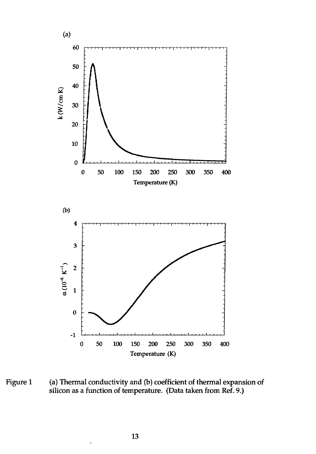

Figure 1 (a) Thermal conductivity and (b) coefficient of thermal expansion of silicon as a function of temperature. (Data taken from Ref. 9.)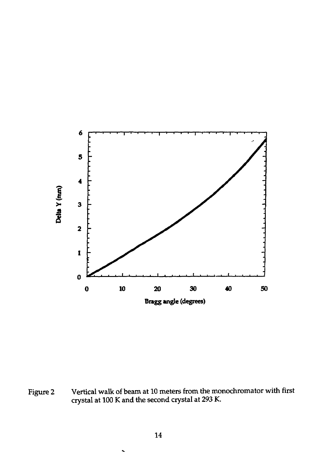

Figure 2 Vertical walk of beam at 10 meters from the monochromator with first crystal at 100 K and the second crystal at 293 K.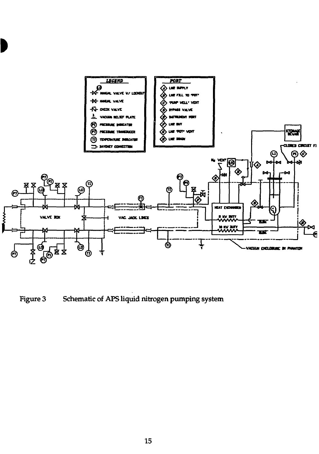

Figure 3 Schematic of APS liquid nitrogen pumping system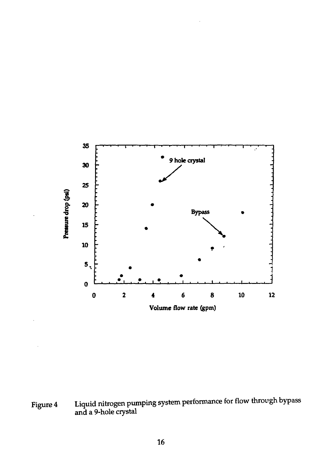

Figure 4 Liquid nitrogen pumping system performance for flow through bypass and a 9-hole crystal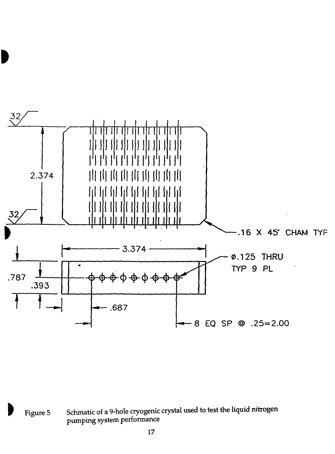

**W** Figure 5 Schmatic of a 9-hole cryogenic crystal used to test the liquid nitrogen pumping system performance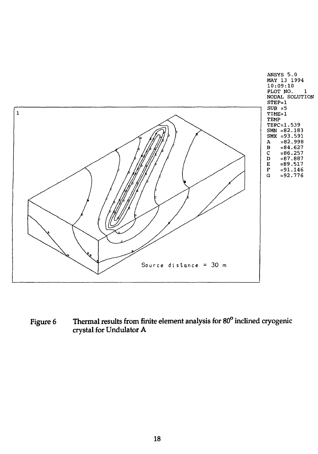

Figure 6 Thermal results from finite element analysis for 80<sup>°</sup> inclined cryogenic crystal for Undulator A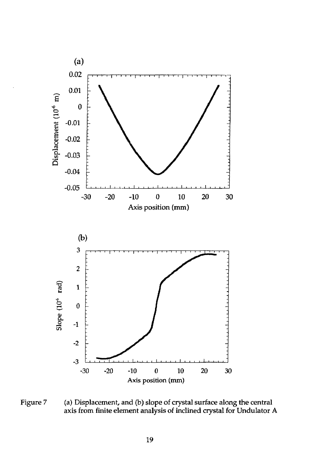

Figure 7 (a) Displacement, and (b) slope of crystal surface along the central axis from finite element analysis of inclined crystal for Undulator A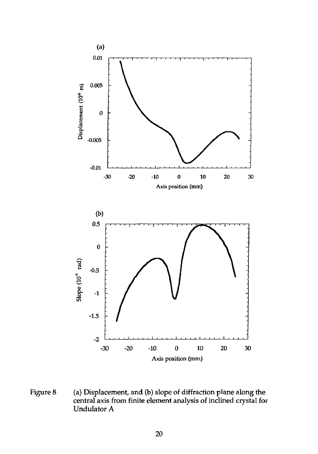

Figure 8 (a) Displacement, and (b) slope of diffraction plane along the central axis from finite element analysis of inclined crystal for Undulator A